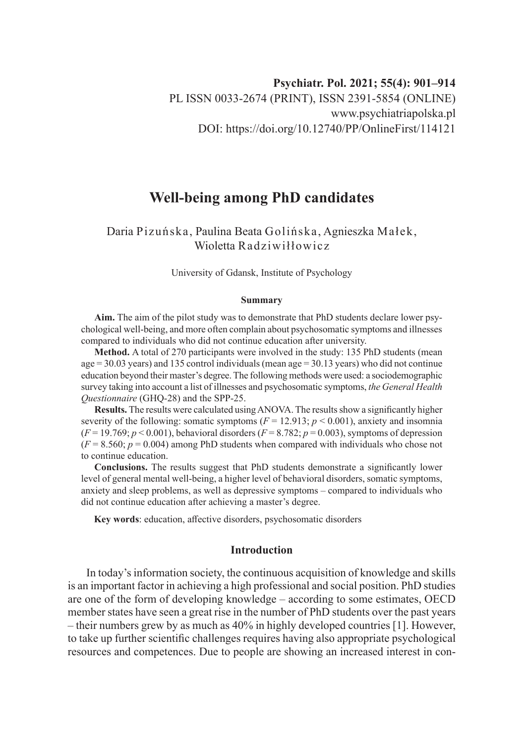# **Well-being among PhD candidates**

# Daria Pizuńska, Paulina Beata Golińska, Agnieszka Małek, Wioletta Radziwiłłowicz

University of Gdansk, Institute of Psychology

#### **Summary**

**Aim.** The aim of the pilot study was to demonstrate that PhD students declare lower psychological well-being, and more often complain about psychosomatic symptoms and illnesses compared to individuals who did not continue education after university.

**Method.** A total of 270 participants were involved in the study: 135 PhD students (mean  $age = 30.03$  years) and 135 control individuals (mean age = 30.13 years) who did not continue education beyond their master's degree. The following methods were used: a sociodemographic survey taking into account a list of illnesses and psychosomatic symptoms, *the General Health Questionnaire* (GHQ-28) and the SPP-25.

**Results.** The results were calculated using ANOVA. The results show a significantly higher severity of the following: somatic symptoms  $(F = 12.913; p < 0.001)$ , anxiety and insomnia  $(F = 19.769; p < 0.001)$ , behavioral disorders  $(F = 8.782; p = 0.003)$ , symptoms of depression  $(F = 8.560; p = 0.004)$  among PhD students when compared with individuals who chose not to continue education.

**Conclusions.** The results suggest that PhD students demonstrate a significantly lower level of general mental well-being, a higher level of behavioral disorders, somatic symptoms, anxiety and sleep problems, as well as depressive symptoms – compared to individuals who did not continue education after achieving a master's degree.

**Key words**: education, affective disorders, psychosomatic disorders

# **Introduction**

In today's information society, the continuous acquisition of knowledge and skills is an important factor in achieving a high professional and social position. PhD studies are one of the form of developing knowledge – according to some estimates, OECD member states have seen a great rise in the number of PhD students over the past years – their numbers grew by as much as 40% in highly developed countries [1]. However, to take up further scientific challenges requires having also appropriate psychological resources and competences. Due to people are showing an increased interest in con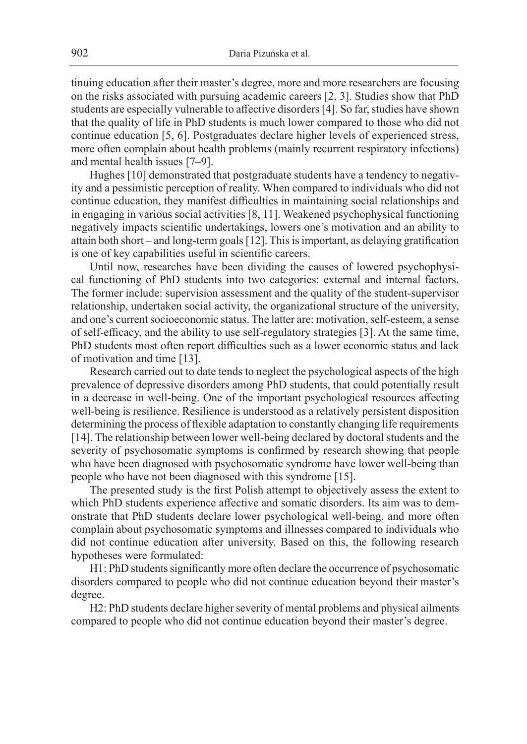tinuing education after their master's degree, more and more researchers are focusing on the risks associated with pursuing academic careers [2, 3]. Studies show that PhD students are especially vulnerable to affective disorders [4]. So far, studies have shown that the quality of life in PhD students is much lower compared to those who did not continue education [5, 6]. Postgraduates declare higher levels of experienced stress, more often complain about health problems (mainly recurrent respiratory infections) and mental health issues [7–9].

Hughes [10] demonstrated that postgraduate students have a tendency to negativity and a pessimistic perception of reality. When compared to individuals who did not continue education, they manifest difficulties in maintaining social relationships and in engaging in various social activities [8, 11]. Weakened psychophysical functioning negatively impacts scientific undertakings, lowers one's motivation and an ability to attain both short – and long-term goals [12]. This is important, as delaying gratification is one of key capabilities useful in scientific careers.

Until now, researches have been dividing the causes of lowered psychophysical functioning of PhD students into two categories: external and internal factors. The former include: supervision assessment and the quality of the student-supervisor relationship, undertaken social activity, the organizational structure of the university, and one's current socioeconomic status. The latter are: motivation, self-esteem, a sense of self-efficacy, and the ability to use self-regulatory strategies [3]. At the same time, PhD students most often report difficulties such as a lower economic status and lack of motivation and time [13].

Research carried out to date tends to neglect the psychological aspects of the high prevalence of depressive disorders among PhD students, that could potentially result in a decrease in well-being. One of the important psychological resources affecting well-being is resilience. Resilience is understood as a relatively persistent disposition determining the process of flexible adaptation to constantly changing life requirements [14]. The relationship between lower well-being declared by doctoral students and the severity of psychosomatic symptoms is confirmed by research showing that people who have been diagnosed with psychosomatic syndrome have lower well-being than people who have not been diagnosed with this syndrome [15].

The presented study is the first Polish attempt to objectively assess the extent to which PhD students experience affective and somatic disorders. Its aim was to demonstrate that PhD students declare lower psychological well-being, and more often complain about psychosomatic symptoms and illnesses compared to individuals who did not continue education after university. Based on this, the following research hypotheses were formulated:

H1: PhD students significantly more often declare the occurrence of psychosomatic disorders compared to people who did not continue education beyond their master's degree.

H2: PhD students declare higher severity of mental problems and physical ailments compared to people who did not continue education beyond their master's degree.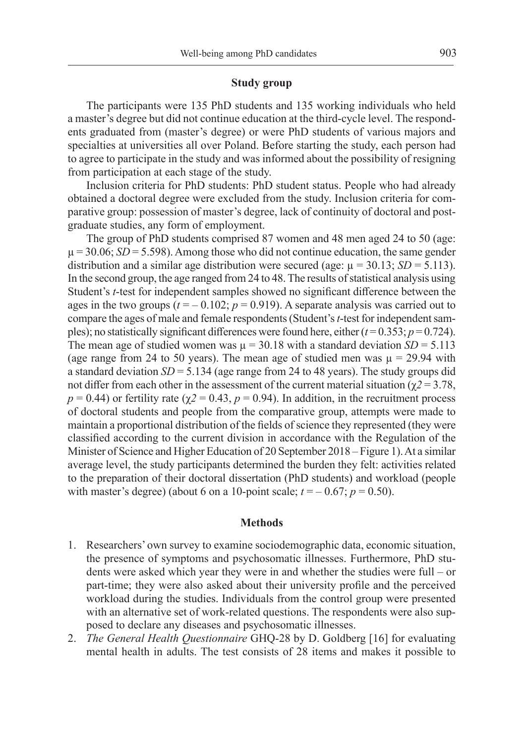# **Study group**

The participants were 135 PhD students and 135 working individuals who held a master's degree but did not continue education at the third-cycle level. The respondents graduated from (master's degree) or were PhD students of various majors and specialties at universities all over Poland. Before starting the study, each person had to agree to participate in the study and was informed about the possibility of resigning from participation at each stage of the study.

Inclusion criteria for PhD students: PhD student status. People who had already obtained a doctoral degree were excluded from the study. Inclusion criteria for comparative group: possession of master's degree, lack of continuity of doctoral and postgraduate studies, any form of employment.

The group of PhD students comprised 87 women and 48 men aged 24 to 50 (age:  $\mu$  = 30.06; *SD* = 5.598). Among those who did not continue education, the same gender distribution and a similar age distribution were secured (age:  $\mu = 30.13$ ; *SD* = 5.113). In the second group, the age ranged from 24 to 48. The results of statistical analysis using Student's *t*-test for independent samples showed no significant difference between the ages in the two groups  $(t = -0.102; p = 0.919)$ . A separate analysis was carried out to compare the ages of male and female respondents (Student's *t*-test for independent samples); no statistically significant differences were found here, either  $(t = 0.353; p = 0.724)$ . The mean age of studied women was  $\mu = 30.18$  with a standard deviation *SD* = 5.113 (age range from 24 to 50 years). The mean age of studied men was  $\mu = 29.94$  with a standard deviation *SD* = 5.134 (age range from 24 to 48 years). The study groups did not differ from each other in the assessment of the current material situation ( $\gamma$ 2 = 3.78,  $p = 0.44$ ) or fertility rate ( $\chi$ 2 = 0.43,  $p = 0.94$ ). In addition, in the recruitment process of doctoral students and people from the comparative group, attempts were made to maintain a proportional distribution of the fields of science they represented (they were classified according to the current division in accordance with the Regulation of the Minister of Science and Higher Education of 20 September 2018 – Figure 1). At a similar average level, the study participants determined the burden they felt: activities related to the preparation of their doctoral dissertation (PhD students) and workload (people with master's degree) (about 6 on a 10-point scale;  $t = -0.67$ ;  $p = 0.50$ ).

# **Methods**

- 1. Researchers' own survey to examine sociodemographic data, economic situation, the presence of symptoms and psychosomatic illnesses. Furthermore, PhD students were asked which year they were in and whether the studies were full – or part-time; they were also asked about their university profile and the perceived workload during the studies. Individuals from the control group were presented with an alternative set of work-related questions. The respondents were also supposed to declare any diseases and psychosomatic illnesses.
- 2. *The General Health Questionnaire* GHQ-28 by D. Goldberg [16] for evaluating mental health in adults. The test consists of 28 items and makes it possible to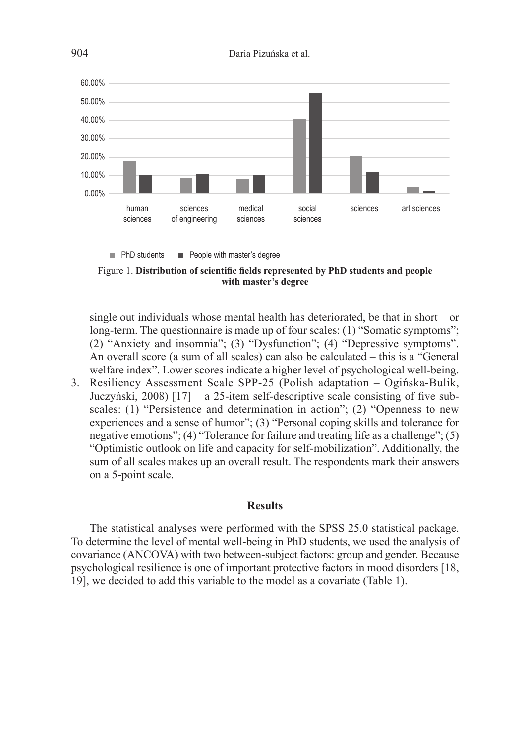

 $\blacksquare$  PhD students  $\blacksquare$  People with master's degree

Figure 1. **Distribution of scientific fields represented by PhD students and people with master's degree**

single out individuals whose mental health has deteriorated, be that in short – or long-term. The questionnaire is made up of four scales: (1) "Somatic symptoms"; (2) "Anxiety and insomnia"; (3) "Dysfunction"; (4) "Depressive symptoms". An overall score (a sum of all scales) can also be calculated – this is a "General welfare index". Lower scores indicate a higher level of psychological well-being.

3. Resiliency Assessment Scale SPP-25 (Polish adaptation – Ogińska-Bulik, Juczyński, 2008) [17] – a 25-item self-descriptive scale consisting of five subscales: (1) "Persistence and determination in action"; (2) "Openness to new experiences and a sense of humor"; (3) "Personal coping skills and tolerance for negative emotions"; (4) "Tolerance for failure and treating life as a challenge"; (5) "Optimistic outlook on life and capacity for self-mobilization". Additionally, the sum of all scales makes up an overall result. The respondents mark their answers on a 5-point scale.

#### **Results**

The statistical analyses were performed with the SPSS 25.0 statistical package. To determine the level of mental well-being in PhD students, we used the analysis of covariance (ANCOVA) with two between-subject factors: group and gender. Because psychological resilience is one of important protective factors in mood disorders [18, 19], we decided to add this variable to the model as a covariate (Table 1).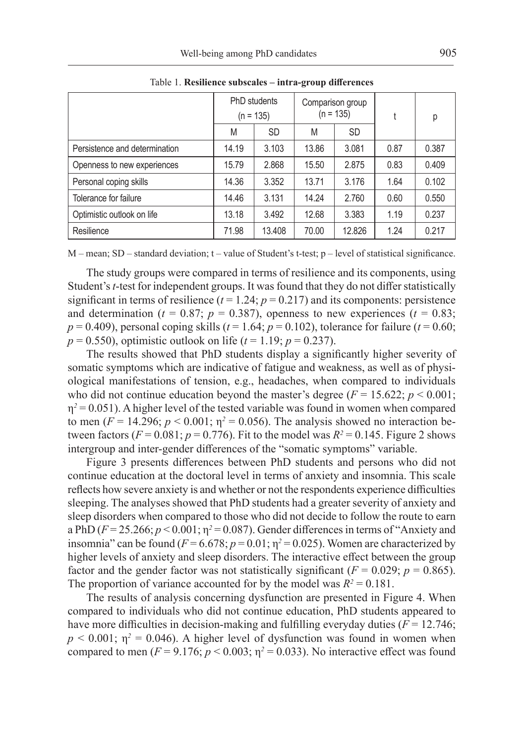|                               | PhD students<br>$(n = 135)$ |           | Comparison group<br>$(n = 135)$ |           |      | р     |
|-------------------------------|-----------------------------|-----------|---------------------------------|-----------|------|-------|
|                               | M                           | <b>SD</b> | M                               | <b>SD</b> |      |       |
| Persistence and determination | 14.19                       | 3.103     | 13.86                           | 3.081     | 0.87 | 0.387 |
| Openness to new experiences   | 15.79                       | 2.868     | 15.50                           | 2.875     | 0.83 | 0.409 |
| Personal coping skills        | 14.36                       | 3.352     | 13.71                           | 3.176     | 1.64 | 0.102 |
| Tolerance for failure         | 14.46                       | 3.131     | 14.24                           | 2.760     | 0.60 | 0.550 |
| Optimistic outlook on life    | 13.18                       | 3.492     | 12.68                           | 3.383     | 1.19 | 0.237 |
| Resilience                    | 71.98                       | 13.408    | 70.00                           | 12.826    | 1.24 | 0.217 |

Table 1. **Resilience subscales – intra-group differences**

M – mean; SD – standard deviation; t – value of Student's t-test; p – level of statistical significance.

The study groups were compared in terms of resilience and its components, using Student's *t*-test for independent groups. It was found that they do not differ statistically significant in terms of resilience  $(t = 1.24; p = 0.217)$  and its components: persistence and determination ( $t = 0.87$ ;  $p = 0.387$ ), openness to new experiences ( $t = 0.83$ ;  $p = 0.409$ ), personal coping skills ( $t = 1.64$ ;  $p = 0.102$ ), tolerance for failure ( $t = 0.60$ ;  $p = 0.550$ , optimistic outlook on life ( $t = 1.19$ ;  $p = 0.237$ ).

The results showed that PhD students display a significantly higher severity of somatic symptoms which are indicative of fatigue and weakness, as well as of physiological manifestations of tension, e.g., headaches, when compared to individuals who did not continue education beyond the master's degree ( $F = 15.622$ ;  $p < 0.001$ ;  $\eta^2$  = 0.051). A higher level of the tested variable was found in women when compared to men ( $F = 14.296$ ;  $p < 0.001$ ;  $\eta^2 = 0.056$ ). The analysis showed no interaction between factors ( $F = 0.081$ ;  $p = 0.776$ ). Fit to the model was  $R^2 = 0.145$ . Figure 2 shows intergroup and inter-gender differences of the "somatic symptoms" variable.

Figure 3 presents differences between PhD students and persons who did not continue education at the doctoral level in terms of anxiety and insomnia. This scale reflects how severe anxiety is and whether or not the respondents experience difficulties sleeping. The analyses showed that PhD students had a greater severity of anxiety and sleep disorders when compared to those who did not decide to follow the route to earn a PhD ( $F = 25.266$ ;  $p < 0.001$ ;  $p^2 = 0.087$ ). Gender differences in terms of "Anxiety and insomnia" can be found  $(F = 6.678; p = 0.01; \eta^2 = 0.025)$ . Women are characterized by higher levels of anxiety and sleep disorders. The interactive effect between the group factor and the gender factor was not statistically significant ( $F = 0.029$ ;  $p = 0.865$ ). The proportion of variance accounted for by the model was  $R^2 = 0.181$ .

The results of analysis concerning dysfunction are presented in Figure 4. When compared to individuals who did not continue education, PhD students appeared to have more difficulties in decision-making and fulfilling everyday duties  $(F = 12.746)$ ;  $p < 0.001$ ;  $\eta^2 = 0.046$ ). A higher level of dysfunction was found in women when compared to men ( $F = 9.176$ ;  $p < 0.003$ ;  $\eta^2 = 0.033$ ). No interactive effect was found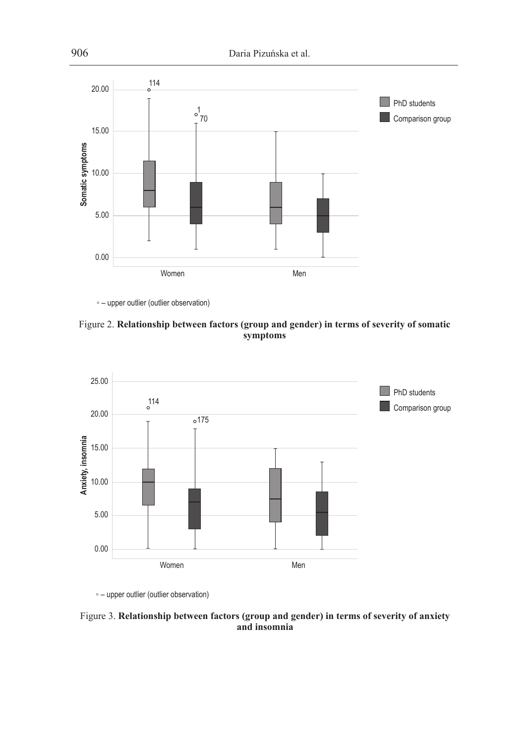

◦ – upper outlier (outlier observation)





◦ – upper outlier (outlier observation)

Figure 3. **Relationship between factors (group and gender) in terms of severity of anxiety and insomnia**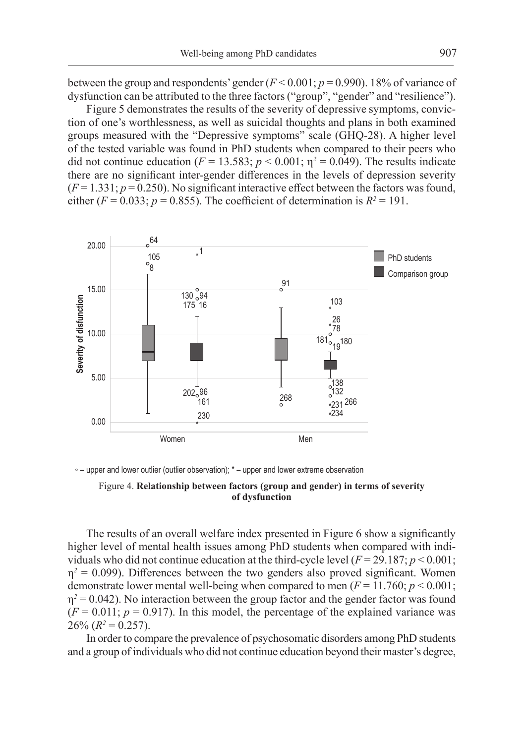between the group and respondents' gender  $(F < 0.001; p = 0.990)$ . 18% of variance of dysfunction can be attributed to the three factors ("group", "gender" and "resilience").

Figure 5 demonstrates the results of the severity of depressive symptoms, conviction of one's worthlessness, as well as suicidal thoughts and plans in both examined groups measured with the "Depressive symptoms" scale (GHQ-28). A higher level of the tested variable was found in PhD students when compared to their peers who did not continue education ( $F = 13.583$ ;  $p < 0.001$ ;  $\eta^2 = 0.049$ ). The results indicate there are no significant inter-gender differences in the levels of depression severity  $(F = 1.331; p = 0.250)$ . No significant interactive effect between the factors was found, either ( $F = 0.033$ ;  $p = 0.855$ ). The coefficient of determination is  $R^2 = 191$ .





#### Figure 4. **Relationship between factors (group and gender) in terms of severity of dysfunction**

The results of an overall welfare index presented in Figure 6 show a significantly higher level of mental health issues among PhD students when compared with individuals who did not continue education at the third-cycle level  $(F = 29.187; p \le 0.001;$  $\eta^2$  = 0.099). Differences between the two genders also proved significant. Women demonstrate lower mental well-being when compared to men  $(F = 11.760; p < 0.001;$  $\eta^2$  = 0.042). No interaction between the group factor and the gender factor was found  $(F = 0.011; p = 0.917)$ . In this model, the percentage of the explained variance was  $26\% (R^2 = 0.257).$ 

In order to compare the prevalence of psychosomatic disorders among PhD students and a group of individuals who did not continue education beyond their master's degree,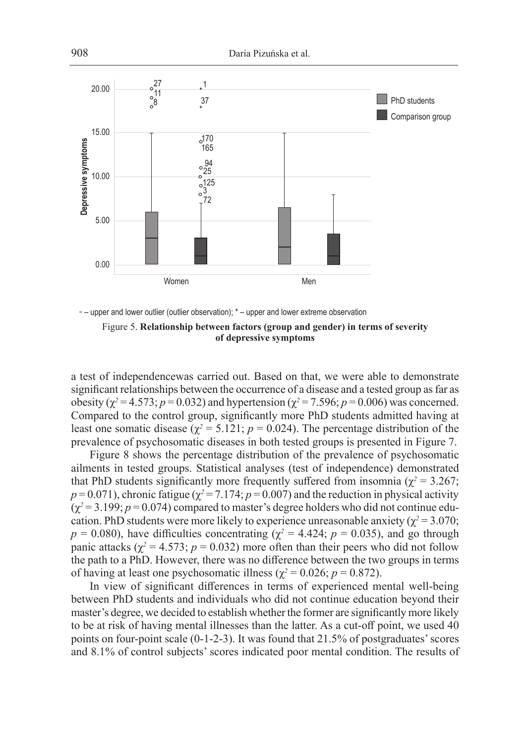

◦ – upper and lower outlier (outlier observation); \* – upper and lower extreme observation

Figure 5. **Relationship between factors (group and gender) in terms of severity of depressive symptoms**

a test of independencewas carried out. Based on that, we were able to demonstrate significant relationships between the occurrence of a disease and a tested group as far as obesity ( $χ² = 4.573$ ; *p* = 0.032) and hypertension ( $χ² = 7.596$ ; *p* = 0.006) was concerned. Compared to the control group, significantly more PhD students admitted having at least one somatic disease ( $\chi^2$  = 5.121; *p* = 0.024). The percentage distribution of the prevalence of psychosomatic diseases in both tested groups is presented in Figure 7.

Figure 8 shows the percentage distribution of the prevalence of psychosomatic ailments in tested groups. Statistical analyses (test of independence) demonstrated that PhD students significantly more frequently suffered from insomnia ( $\chi^2$  = 3.267;  $p = 0.071$ ), chronic fatigue ( $\chi^2 = 7.174$ ;  $p = 0.007$ ) and the reduction in physical activity  $(\chi^2 = 3.199; p = 0.074)$  compared to master's degree holders who did not continue education. PhD students were more likely to experience unreasonable anxiety ( $\chi^2$  = 3.070;  $p = 0.080$ ), have difficulties concentrating ( $\chi^2 = 4.424$ ;  $p = 0.035$ ), and go through panic attacks ( $\chi^2$  = 4.573;  $p$  = 0.032) more often than their peers who did not follow the path to a PhD. However, there was no difference between the two groups in terms of having at least one psychosomatic illness ( $\chi^2$  = 0.026; *p* = 0.872).

In view of significant differences in terms of experienced mental well-being between PhD students and individuals who did not continue education beyond their master's degree, we decided to establish whether the former are significantly more likely to be at risk of having mental illnesses than the latter. As a cut-off point, we used 40 points on four-point scale (0-1-2-3). It was found that 21.5% of postgraduates' scores and 8.1% of control subjects' scores indicated poor mental condition. The results of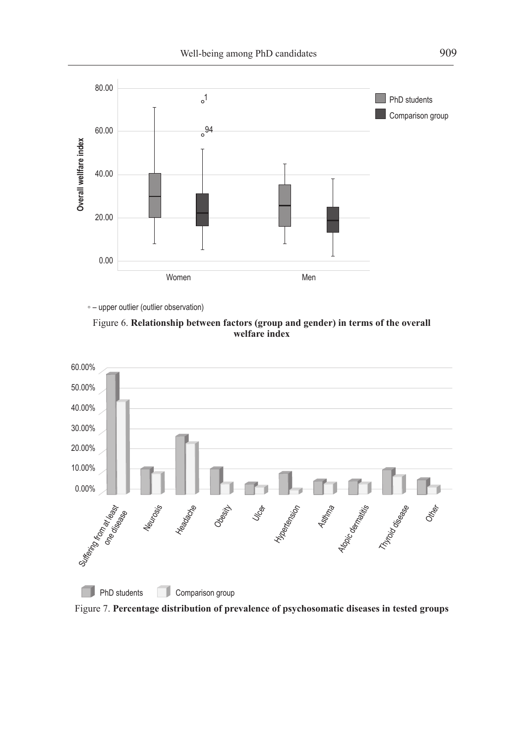

◦ – upper outlier (outlier observation)





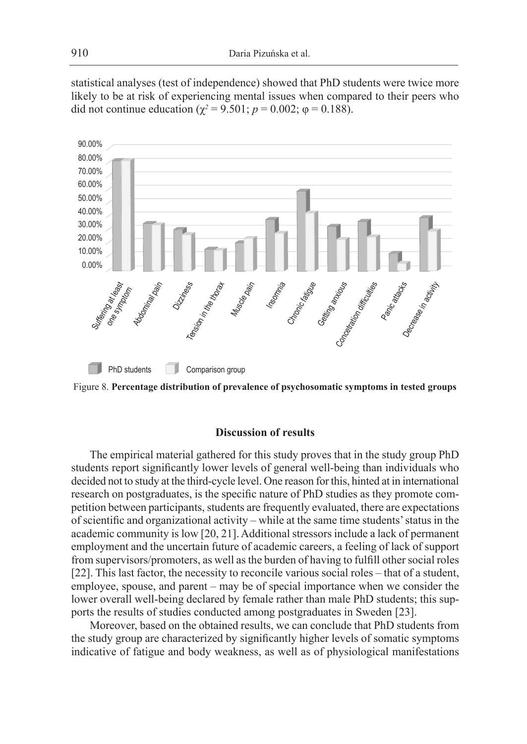statistical analyses (test of independence) showed that PhD students were twice more likely to be at risk of experiencing mental issues when compared to their peers who did not continue education ( $\chi^2 = 9.501$ ;  $p = 0.002$ ;  $\varphi = 0.188$ ).



Figure 8. **Percentage distribution of prevalence of psychosomatic symptoms in tested groups**

## **Discussion of results**

The empirical material gathered for this study proves that in the study group PhD students report significantly lower levels of general well-being than individuals who decided not to study at the third-cycle level. One reason for this, hinted at in international research on postgraduates, is the specific nature of PhD studies as they promote competition between participants, students are frequently evaluated, there are expectations of scientific and organizational activity – while at the same time students' status in the academic community is low [20, 21]. Additional stressors include a lack of permanent employment and the uncertain future of academic careers, a feeling of lack of support from supervisors/promoters, as well as the burden of having to fulfill other social roles [22]. This last factor, the necessity to reconcile various social roles – that of a student, employee, spouse, and parent – may be of special importance when we consider the lower overall well-being declared by female rather than male PhD students; this supports the results of studies conducted among postgraduates in Sweden [23].

Moreover, based on the obtained results, we can conclude that PhD students from the study group are characterized by significantly higher levels of somatic symptoms indicative of fatigue and body weakness, as well as of physiological manifestations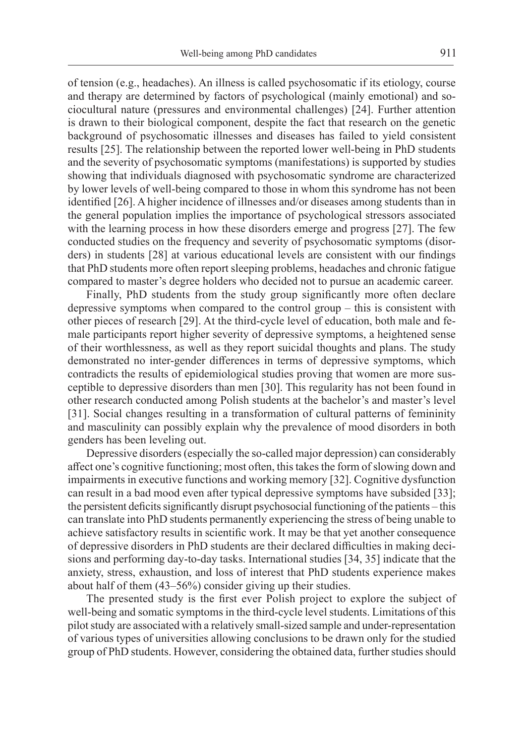of tension (e.g., headaches). An illness is called psychosomatic if its etiology, course and therapy are determined by factors of psychological (mainly emotional) and sociocultural nature (pressures and environmental challenges) [24]. Further attention is drawn to their biological component, despite the fact that research on the genetic background of psychosomatic illnesses and diseases has failed to yield consistent results [25]. The relationship between the reported lower well-being in PhD students and the severity of psychosomatic symptoms (manifestations) is supported by studies showing that individuals diagnosed with psychosomatic syndrome are characterized by lower levels of well-being compared to those in whom this syndrome has not been identified [26]. A higher incidence of illnesses and/or diseases among students than in the general population implies the importance of psychological stressors associated with the learning process in how these disorders emerge and progress [27]. The few conducted studies on the frequency and severity of psychosomatic symptoms (disorders) in students [28] at various educational levels are consistent with our findings that PhD students more often report sleeping problems, headaches and chronic fatigue compared to master's degree holders who decided not to pursue an academic career.

Finally, PhD students from the study group significantly more often declare depressive symptoms when compared to the control group – this is consistent with other pieces of research [29]. At the third-cycle level of education, both male and female participants report higher severity of depressive symptoms, a heightened sense of their worthlessness, as well as they report suicidal thoughts and plans. The study demonstrated no inter-gender differences in terms of depressive symptoms, which contradicts the results of epidemiological studies proving that women are more susceptible to depressive disorders than men [30]. This regularity has not been found in other research conducted among Polish students at the bachelor's and master's level [31]. Social changes resulting in a transformation of cultural patterns of femininity and masculinity can possibly explain why the prevalence of mood disorders in both genders has been leveling out.

Depressive disorders (especially the so-called major depression) can considerably affect one's cognitive functioning; most often, this takes the form of slowing down and impairments in executive functions and working memory [32]. Cognitive dysfunction can result in a bad mood even after typical depressive symptoms have subsided [33]; the persistent deficits significantly disrupt psychosocial functioning of the patients – this can translate into PhD students permanently experiencing the stress of being unable to achieve satisfactory results in scientific work. It may be that yet another consequence of depressive disorders in PhD students are their declared difficulties in making decisions and performing day-to-day tasks. International studies [34, 35] indicate that the anxiety, stress, exhaustion, and loss of interest that PhD students experience makes about half of them (43–56%) consider giving up their studies.

The presented study is the first ever Polish project to explore the subject of well-being and somatic symptoms in the third-cycle level students. Limitations of this pilot study are associated with a relatively small-sized sample and under-representation of various types of universities allowing conclusions to be drawn only for the studied group of PhD students. However, considering the obtained data, further studies should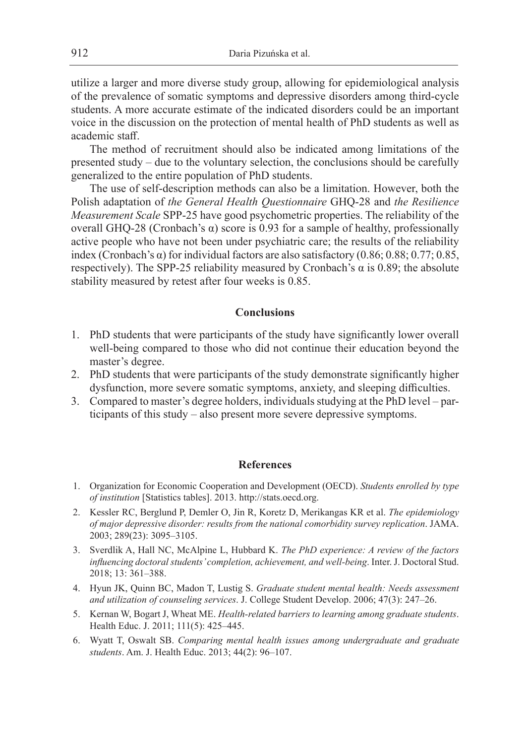utilize a larger and more diverse study group, allowing for epidemiological analysis of the prevalence of somatic symptoms and depressive disorders among third-cycle students. A more accurate estimate of the indicated disorders could be an important voice in the discussion on the protection of mental health of PhD students as well as academic staff.

The method of recruitment should also be indicated among limitations of the presented study – due to the voluntary selection, the conclusions should be carefully generalized to the entire population of PhD students.

The use of self-description methods can also be a limitation. However, both the Polish adaptation of *the General Health Questionnaire* GHQ-28 and *the Resilience Measurement Scale* SPP-25 have good psychometric properties. The reliability of the overall GHQ-28 (Cronbach's α) score is 0.93 for a sample of healthy, professionally active people who have not been under psychiatric care; the results of the reliability index (Cronbach's α) for individual factors are also satisfactory (0.86; 0.88; 0.77; 0.85, respectively). The SPP-25 reliability measured by Cronbach's  $\alpha$  is 0.89; the absolute stability measured by retest after four weeks is 0.85.

# **Conclusions**

- 1. PhD students that were participants of the study have significantly lower overall well-being compared to those who did not continue their education beyond the master's degree.
- 2. PhD students that were participants of the study demonstrate significantly higher dysfunction, more severe somatic symptoms, anxiety, and sleeping difficulties.
- 3. Compared to master's degree holders, individuals studying at the PhD level participants of this study – also present more severe depressive symptoms.

# **References**

- 1. Organization for Economic Cooperation and Development (OECD). *Students enrolled by type of institution* [Statistics tables]. 2013. http://stats.oecd.org.
- 2. Kessler RC, Berglund P, Demler O, Jin R, Koretz D, Merikangas KR et al. *The epidemiology of major depressive disorder: results from the national comorbidity survey replication*. JAMA. 2003; 289(23): 3095–3105.
- 3. Sverdlik A, Hall NC, McAlpine L, Hubbard K. *The PhD experience: A review of the factors influencing doctoral students' completion, achievement, and well-being*. Inter. J. Doctoral Stud. 2018; 13: 361–388.
- 4. Hyun JK, Quinn BC, Madon T, Lustig S. *Graduate student mental health: Needs assessment and utilization of counseling services*. J. College Student Develop. 2006; 47(3): 247–26.
- 5. Kernan W, Bogart J, Wheat ME. *Health-related barriers to learning among graduate students*. Health Educ. J. 2011; 111(5): 425–445.
- 6. Wyatt T, Oswalt SB. *Comparing mental health issues among undergraduate and graduate students*. Am. J. Health Educ. 2013; 44(2): 96–107.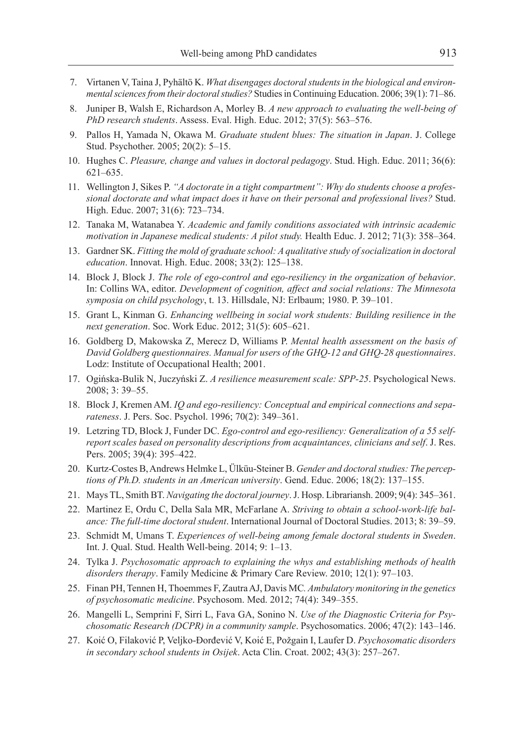- 7. Virtanen V, Taina J, Pyhältö K. *What disengages doctoral students in the biological and environmental sciences from their doctoral studies?* Studies in Continuing Education. 2006; 39(1): 71–86.
- 8. Juniper B, Walsh E, Richardson A, Morley B. *A new approach to evaluating the well-being of PhD research students*. Assess. Eval. High. Educ. 2012; 37(5): 563–576.
- 9. Pallos H, Yamada N, Okawa M. *Graduate student blues: The situation in Japan*. J. College Stud. Psychother. 2005; 20(2): 5–15.
- 10. Hughes C. *Pleasure, change and values in doctoral pedagogy*. Stud. High. Educ. 2011; 36(6): 621–635.
- 11. Wellington J, Sikes P. *"A doctorate in a tight compartment": Why do students choose a professional doctorate and what impact does it have on their personal and professional lives?* Stud. High. Educ. 2007; 31(6): 723–734.
- 12. Tanaka M, Watanabea Y. *Academic and family conditions associated with intrinsic academic motivation in Japanese medical students: A pilot study.* Health Educ. J. 2012; 71(3): 358–364.
- 13. Gardner SK. *Fitting the mold of graduate school: A qualitative study of socialization in doctoral education*. Innovat. High. Educ. 2008; 33(2): 125–138.
- 14. Block J, Block J. *The role of ego-control and ego-resiliency in the organization of behavior*. In: Collins WA, editor. *Development of cognition, affect and social relations: The Minnesota symposia on child psychology*, t. 13. Hillsdale, NJ: Erlbaum; 1980. P. 39–101.
- 15. Grant L, Kinman G. *Enhancing wellbeing in social work students: Building resilience in the next generation*. Soc. Work Educ. 2012; 31(5): 605–621.
- 16. Goldberg D, Makowska Z, Merecz D, Williams P. *Mental health assessment on the basis of David Goldberg questionnaires. Manual for users of the GHQ-12 and GHQ-28 questionnaires*. Lodz: Institute of Occupational Health; 2001.
- 17. Ogińska-Bulik N, Juczyński Z. *A resilience measurement scale: SPP-25*. Psychological News. 2008; 3: 39–55.
- 18. Block J, Kremen AM. *IQ and ego-resiliency: Conceptual and empirical connections and separateness*. J. Pers. Soc. Psychol. 1996; 70(2): 349–361.
- 19. Letzring TD, Block J, Funder DC. *Ego-control and ego-resiliency: Generalization of a 55 selfreport scales based on personality descriptions from acquaintances, clinicians and self*. J. Res. Pers. 2005; 39(4): 395–422.
- 20. Kurtz-Costes B, Andrews Helmke L, Ülküu-Steiner B. *Gender and doctoral studies: The perceptions of Ph.D. students in an American university*. Gend. Educ. 2006; 18(2): 137–155.
- 21. Mays TL, Smith BT. *Navigating the doctoral journey*. J. Hosp. Librariansh. 2009; 9(4): 345–361.
- 22. Martinez E, Ordu C, Della Sala MR, McFarlane A. *Striving to obtain a school-work-life balance: The full-time doctoral student*. International Journal of Doctoral Studies. 2013; 8: 39–59.
- 23. Schmidt M, Umans T. *Experiences of well-being among female doctoral students in Sweden*. Int. J. Qual. Stud. Health Well-being. 2014; 9: 1–13.
- 24. Tylka J. *Psychosomatic approach to explaining the whys and establishing methods of health disorders therapy*. Family Medicine & Primary Care Review. 2010; 12(1): 97–103.
- 25. Finan PH, Tennen H, Thoemmes F, Zautra AJ, Davis MC*. Ambulatory monitoring in the genetics of psychosomatic medicine*. Psychosom. Med. 2012; 74(4): 349–355.
- 26. Mangelli L, Semprini F, Sirri L, Fava GA, Sonino N. *Use of the Diagnostic Criteria for Psychosomatic Research (DCPR) in a community sample*. Psychosomatics. 2006; 47(2): 143–146.
- 27. Koić O, Filaković P, Veljko-Đorđević V, Koić E, Požgain I, Laufer D. *Psychosomatic disorders in secondary school students in Osijek*. Acta Clin. Croat. 2002; 43(3): 257–267.